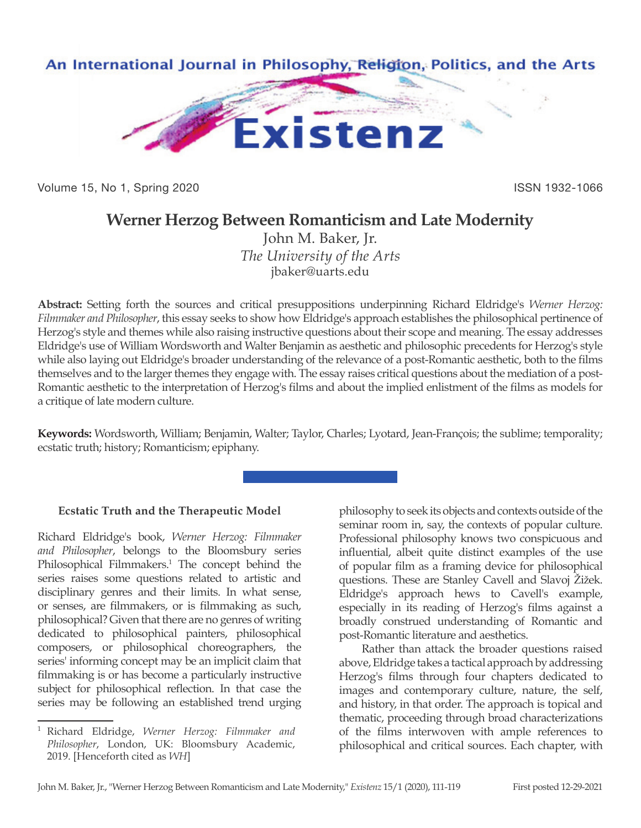

Volume 15, No 1, Spring 2020 **ISSN 1932-1066** 

## **Werner Herzog Between Romanticism and Late Modernity**

John M. Baker, Jr. *The University of the Arts* jbaker@uarts.edu

**Abstract:** Setting forth the sources and critical presuppositions underpinning Richard Eldridge's *Werner Herzog: Filmmaker and Philosopher*, this essay seeks to show how Eldridge's approach establishes the philosophical pertinence of Herzog's style and themes while also raising instructive questions about their scope and meaning. The essay addresses Eldridge's use of William Wordsworth and Walter Benjamin as aesthetic and philosophic precedents for Herzog's style while also laying out Eldridge's broader understanding of the relevance of a post-Romantic aesthetic, both to the films themselves and to the larger themes they engage with. The essay raises critical questions about the mediation of a post-Romantic aesthetic to the interpretation of Herzog's films and about the implied enlistment of the films as models for a critique of late modern culture.

**Keywords:** Wordsworth, William; Benjamin, Walter; Taylor, Charles; Lyotard, Jean-François; the sublime; temporality; ecstatic truth; history; Romanticism; epiphany.

## **Ecstatic Truth and the Therapeutic Model**

Richard Eldridge's book, *Werner Herzog: Filmmaker and Philosopher*, belongs to the Bloomsbury series Philosophical Filmmakers.<sup>1</sup> The concept behind the series raises some questions related to artistic and disciplinary genres and their limits. In what sense, or senses, are filmmakers, or is filmmaking as such, philosophical? Given that there are no genres of writing dedicated to philosophical painters, philosophical composers, or philosophical choreographers, the series' informing concept may be an implicit claim that filmmaking is or has become a particularly instructive subject for philosophical reflection. In that case the series may be following an established trend urging

philosophy to seek its objects and contexts outside of the seminar room in, say, the contexts of popular culture. Professional philosophy knows two conspicuous and influential, albeit quite distinct examples of the use of popular film as a framing device for philosophical questions. These are Stanley Cavell and Slavoj Žižek. Eldridge's approach hews to Cavell's example, especially in its reading of Herzog's films against a broadly construed understanding of Romantic and post-Romantic literature and aesthetics.

Rather than attack the broader questions raised above, Eldridge takes a tactical approach by addressing Herzog's films through four chapters dedicated to images and contemporary culture, nature, the self, and history, in that order. The approach is topical and thematic, proceeding through broad characterizations of the films interwoven with ample references to philosophical and critical sources. Each chapter, with

<sup>1</sup> Richard Eldridge, *Werner Herzog: Filmmaker and Philosopher*, London, UK: Bloomsbury Academic, 2019. [Henceforth cited as *WH*]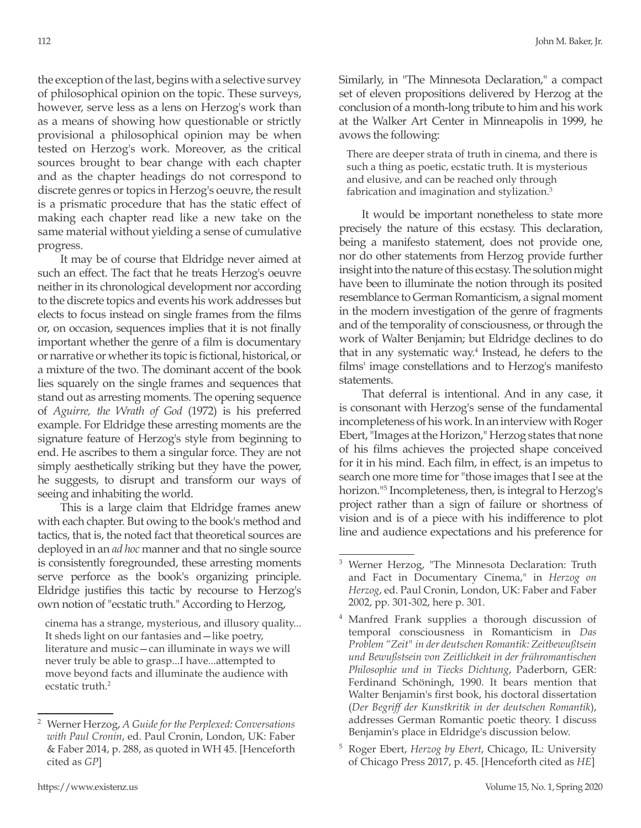the exception of the last, begins with a selective survey of philosophical opinion on the topic. These surveys, however, serve less as a lens on Herzog's work than as a means of showing how questionable or strictly provisional a philosophical opinion may be when tested on Herzog's work. Moreover, as the critical sources brought to bear change with each chapter and as the chapter headings do not correspond to discrete genres or topics in Herzog's oeuvre, the result is a prismatic procedure that has the static effect of making each chapter read like a new take on the same material without yielding a sense of cumulative progress.

It may be of course that Eldridge never aimed at such an effect. The fact that he treats Herzog's oeuvre neither in its chronological development nor according to the discrete topics and events his work addresses but elects to focus instead on single frames from the films or, on occasion, sequences implies that it is not finally important whether the genre of a film is documentary or narrative or whether its topic is fictional, historical, or a mixture of the two. The dominant accent of the book lies squarely on the single frames and sequences that stand out as arresting moments. The opening sequence of *Aguirre, the Wrath of God* (1972) is his preferred example. For Eldridge these arresting moments are the signature feature of Herzog's style from beginning to end. He ascribes to them a singular force. They are not simply aesthetically striking but they have the power, he suggests, to disrupt and transform our ways of seeing and inhabiting the world.

This is a large claim that Eldridge frames anew with each chapter. But owing to the book's method and tactics, that is, the noted fact that theoretical sources are deployed in an *ad hoc* manner and that no single source is consistently foregrounded, these arresting moments serve perforce as the book's organizing principle. Eldridge justifies this tactic by recourse to Herzog's own notion of "ecstatic truth." According to Herzog,

cinema has a strange, mysterious, and illusory quality... It sheds light on our fantasies and—like poetry, literature and music—can illuminate in ways we will never truly be able to grasp...I have...attempted to move beyond facts and illuminate the audience with ecstatic truth.<sup>2</sup>

Similarly, in "The Minnesota Declaration," a compact set of eleven propositions delivered by Herzog at the conclusion of a month-long tribute to him and his work at the Walker Art Center in Minneapolis in 1999, he avows the following:

There are deeper strata of truth in cinema, and there is such a thing as poetic, ecstatic truth. It is mysterious and elusive, and can be reached only through fabrication and imagination and stylization.<sup>3</sup>

It would be important nonetheless to state more precisely the nature of this ecstasy. This declaration, being a manifesto statement, does not provide one, nor do other statements from Herzog provide further insight into the nature of this ecstasy. The solution might have been to illuminate the notion through its posited resemblance to German Romanticism, a signal moment in the modern investigation of the genre of fragments and of the temporality of consciousness, or through the work of Walter Benjamin; but Eldridge declines to do that in any systematic way.4 Instead, he defers to the films' image constellations and to Herzog's manifesto statements.

That deferral is intentional. And in any case, it is consonant with Herzog's sense of the fundamental incompleteness of his work. In an interview with Roger Ebert, "Images at the Horizon," Herzog states that none of his films achieves the projected shape conceived for it in his mind. Each film, in effect, is an impetus to search one more time for "those images that I see at the horizon."5 Incompleteness, then, is integral to Herzog's project rather than a sign of failure or shortness of vision and is of a piece with his indifference to plot line and audience expectations and his preference for

<sup>5</sup> Roger Ebert, *Herzog by Ebert*, Chicago, IL: University of Chicago Press 2017, p. 45. [Henceforth cited as *HE*]

<sup>2</sup> Werner Herzog, *A Guide for the Perplexed: Conversations with Paul Cronin*, ed. Paul Cronin, London, UK: Faber & Faber 2014, p. 288, as quoted in WH 45. [Henceforth cited as *GP*]

<sup>3</sup> Werner Herzog, "The Minnesota Declaration: Truth and Fact in Documentary Cinema," in *Herzog on Herzog*, ed. Paul Cronin, London, UK: Faber and Faber 2002, pp. 301-302, here p. 301.

<sup>4</sup> Manfred Frank supplies a thorough discussion of temporal consciousness in Romanticism in *Das Problem "Zeit" in der deutschen Romantik: Zeitbewußtsein und Bewußstsein von Zeitlichkeit in der frühromantischen Philosophie und in Tiecks Dichtung*, Paderborn, GER: Ferdinand Schöningh, 1990. It bears mention that Walter Benjamin's first book, his doctoral dissertation (*Der Begriff der Kunstkritik in der deutschen Romantik*), addresses German Romantic poetic theory. I discuss Benjamin's place in Eldridge's discussion below.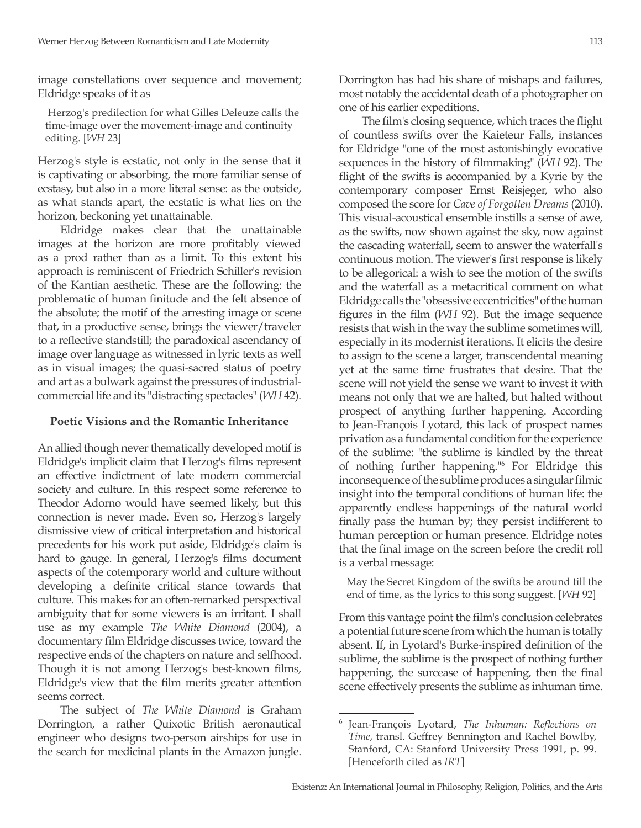image constellations over sequence and movement; Eldridge speaks of it as

 Herzog's predilection for what Gilles Deleuze calls the time-image over the movement-image and continuity editing. [*WH* 23]

Herzog's style is ecstatic, not only in the sense that it is captivating or absorbing, the more familiar sense of ecstasy, but also in a more literal sense: as the outside, as what stands apart, the ecstatic is what lies on the horizon, beckoning yet unattainable.

Eldridge makes clear that the unattainable images at the horizon are more profitably viewed as a prod rather than as a limit. To this extent his approach is reminiscent of Friedrich Schiller's revision of the Kantian aesthetic. These are the following: the problematic of human finitude and the felt absence of the absolute; the motif of the arresting image or scene that, in a productive sense, brings the viewer/traveler to a reflective standstill; the paradoxical ascendancy of image over language as witnessed in lyric texts as well as in visual images; the quasi-sacred status of poetry and art as a bulwark against the pressures of industrialcommercial life and its "distracting spectacles" (*WH* 42).

## **Poetic Visions and the Romantic Inheritance**

An allied though never thematically developed motif is Eldridge's implicit claim that Herzog's films represent an effective indictment of late modern commercial society and culture. In this respect some reference to Theodor Adorno would have seemed likely, but this connection is never made. Even so, Herzog's largely dismissive view of critical interpretation and historical precedents for his work put aside, Eldridge's claim is hard to gauge. In general, Herzog's films document aspects of the cotemporary world and culture without developing a definite critical stance towards that culture. This makes for an often-remarked perspectival ambiguity that for some viewers is an irritant. I shall use as my example *The White Diamond* (2004), a documentary film Eldridge discusses twice, toward the respective ends of the chapters on nature and selfhood. Though it is not among Herzog's best-known films, Eldridge's view that the film merits greater attention seems correct.

The subject of *The White Diamond* is Graham Dorrington, a rather Quixotic British aeronautical engineer who designs two-person airships for use in the search for medicinal plants in the Amazon jungle. Dorrington has had his share of mishaps and failures, most notably the accidental death of a photographer on one of his earlier expeditions.

The film's closing sequence, which traces the flight of countless swifts over the Kaieteur Falls, instances for Eldridge "one of the most astonishingly evocative sequences in the history of filmmaking" (*WH* 92). The flight of the swifts is accompanied by a Kyrie by the contemporary composer Ernst Reisjeger, who also composed the score for *Cave of Forgotten Dreams* (2010). This visual-acoustical ensemble instills a sense of awe, as the swifts, now shown against the sky, now against the cascading waterfall, seem to answer the waterfall's continuous motion. The viewer's first response is likely to be allegorical: a wish to see the motion of the swifts and the waterfall as a metacritical comment on what Eldridge calls the "obsessive eccentricities" of the human figures in the film (*WH* 92). But the image sequence resists that wish in the way the sublime sometimes will, especially in its modernist iterations. It elicits the desire to assign to the scene a larger, transcendental meaning yet at the same time frustrates that desire. That the scene will not yield the sense we want to invest it with means not only that we are halted, but halted without prospect of anything further happening. According to Jean-François Lyotard, this lack of prospect names privation as a fundamental condition for the experience of the sublime: "the sublime is kindled by the threat of nothing further happening."6 For Eldridge this inconsequence of the sublime produces a singular filmic insight into the temporal conditions of human life: the apparently endless happenings of the natural world finally pass the human by; they persist indifferent to human perception or human presence. Eldridge notes that the final image on the screen before the credit roll is a verbal message:

May the Secret Kingdom of the swifts be around till the end of time, as the lyrics to this song suggest. [*WH* 92]

From this vantage point the film's conclusion celebrates a potential future scene from which the human is totally absent. If, in Lyotard's Burke-inspired definition of the sublime, the sublime is the prospect of nothing further happening, the surcease of happening, then the final scene effectively presents the sublime as inhuman time.

<sup>6</sup> Jean-François Lyotard, *The Inhuman: Reflections on Time*, transl. Geffrey Bennington and Rachel Bowlby, Stanford, CA: Stanford University Press 1991, p. 99. [Henceforth cited as *IRT*]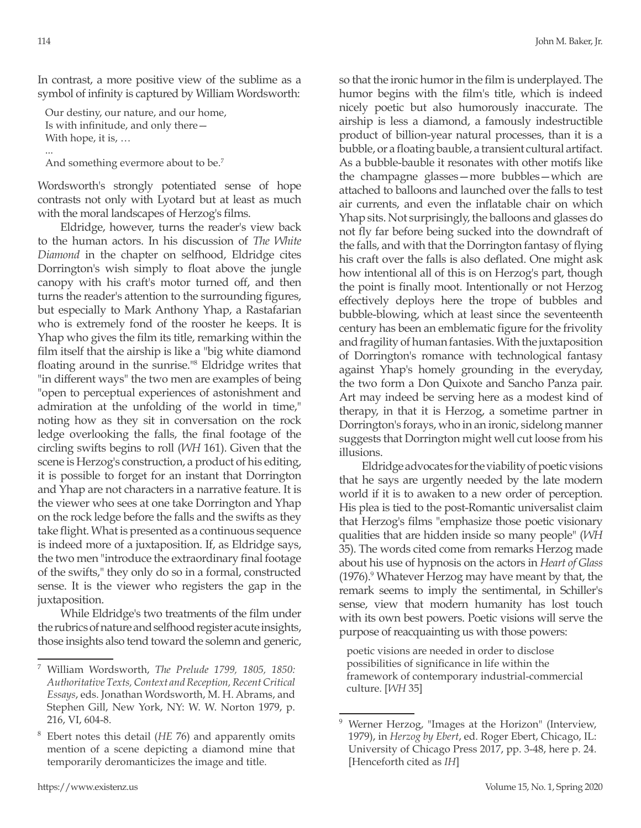114 John M. Baker, Jr.

In contrast, a more positive view of the sublime as a symbol of infinity is captured by William Wordsworth:

Our destiny, our nature, and our home, Is with infinitude, and only there— With hope, it is, …

... And something evermore about to be.<sup>7</sup>

Wordsworth's strongly potentiated sense of hope contrasts not only with Lyotard but at least as much with the moral landscapes of Herzog's films.

Eldridge, however, turns the reader's view back to the human actors. In his discussion of *The White Diamond* in the chapter on selfhood, Eldridge cites Dorrington's wish simply to float above the jungle canopy with his craft's motor turned off, and then turns the reader's attention to the surrounding figures, but especially to Mark Anthony Yhap, a Rastafarian who is extremely fond of the rooster he keeps. It is Yhap who gives the film its title, remarking within the film itself that the airship is like a "big white diamond floating around in the sunrise."<sup>8</sup> Eldridge writes that "in different ways" the two men are examples of being "open to perceptual experiences of astonishment and admiration at the unfolding of the world in time," noting how as they sit in conversation on the rock ledge overlooking the falls, the final footage of the circling swifts begins to roll (*WH* 161). Given that the scene is Herzog's construction, a product of his editing, it is possible to forget for an instant that Dorrington and Yhap are not characters in a narrative feature. It is the viewer who sees at one take Dorrington and Yhap on the rock ledge before the falls and the swifts as they take flight. What is presented as a continuous sequence is indeed more of a juxtaposition. If, as Eldridge says, the two men "introduce the extraordinary final footage of the swifts," they only do so in a formal, constructed sense. It is the viewer who registers the gap in the juxtaposition.

While Eldridge's two treatments of the film under the rubrics of nature and selfhood register acute insights, those insights also tend toward the solemn and generic, so that the ironic humor in the film is underplayed. The humor begins with the film's title, which is indeed nicely poetic but also humorously inaccurate. The airship is less a diamond, a famously indestructible product of billion-year natural processes, than it is a bubble, or a floating bauble, a transient cultural artifact. As a bubble-bauble it resonates with other motifs like the champagne glasses—more bubbles—which are attached to balloons and launched over the falls to test air currents, and even the inflatable chair on which Yhap sits. Not surprisingly, the balloons and glasses do not fly far before being sucked into the downdraft of the falls, and with that the Dorrington fantasy of flying his craft over the falls is also deflated. One might ask how intentional all of this is on Herzog's part, though the point is finally moot. Intentionally or not Herzog effectively deploys here the trope of bubbles and bubble-blowing, which at least since the seventeenth century has been an emblematic figure for the frivolity and fragility of human fantasies. With the juxtaposition of Dorrington's romance with technological fantasy against Yhap's homely grounding in the everyday, the two form a Don Quixote and Sancho Panza pair. Art may indeed be serving here as a modest kind of therapy, in that it is Herzog, a sometime partner in Dorrington's forays, who in an ironic, sidelong manner suggests that Dorrington might well cut loose from his illusions.

Eldridge advocates for the viability of poetic visions that he says are urgently needed by the late modern world if it is to awaken to a new order of perception. His plea is tied to the post-Romantic universalist claim that Herzog's films "emphasize those poetic visionary qualities that are hidden inside so many people" (*WH* 35). The words cited come from remarks Herzog made about his use of hypnosis on the actors in *Heart of Glass* (1976).<sup>9</sup> Whatever Herzog may have meant by that, the remark seems to imply the sentimental, in Schiller's sense, view that modern humanity has lost touch with its own best powers. Poetic visions will serve the purpose of reacquainting us with those powers:

poetic visions are needed in order to disclose possibilities of significance in life within the framework of contemporary industrial-commercial culture. [*WH* 35]

<sup>7</sup> William Wordsworth, *The Prelude 1799, 1805, 1850: Authoritative Texts, Context and Reception, Recent Critical Essays*, eds. Jonathan Wordsworth, M. H. Abrams, and Stephen Gill, New York, NY: W. W. Norton 1979, p. 216, VI, 604-8.

<sup>8</sup> Ebert notes this detail (*HE* 76) and apparently omits mention of a scene depicting a diamond mine that temporarily deromanticizes the image and title.

Werner Herzog, "Images at the Horizon" (Interview, 1979), in *Herzog by Ebert*, ed. Roger Ebert, Chicago, IL: University of Chicago Press 2017, pp. 3-48, here p. 24. [Henceforth cited as *IH*]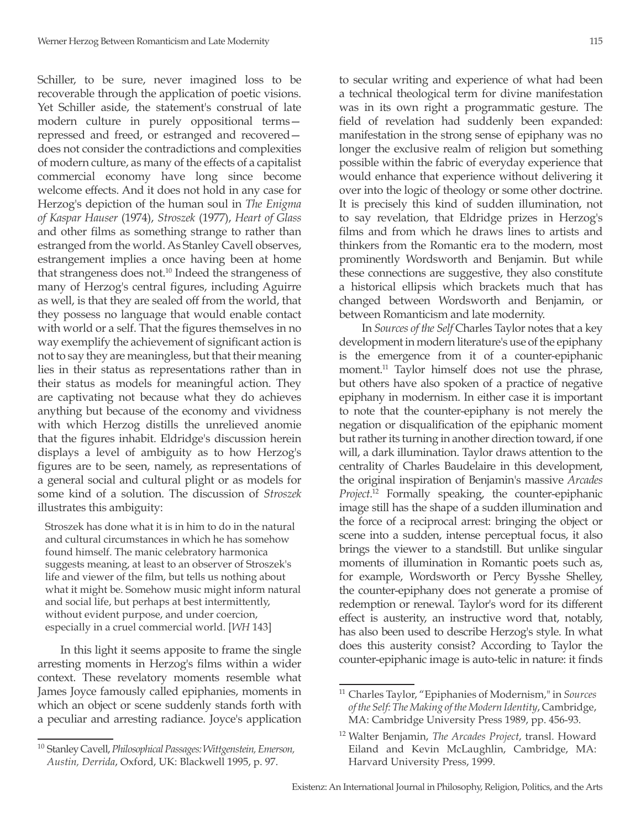Schiller, to be sure, never imagined loss to be recoverable through the application of poetic visions. Yet Schiller aside, the statement's construal of late modern culture in purely oppositional terms repressed and freed, or estranged and recovered does not consider the contradictions and complexities of modern culture, as many of the effects of a capitalist commercial economy have long since become welcome effects. And it does not hold in any case for Herzog's depiction of the human soul in *The Enigma of Kaspar Hauser* (1974), *Stroszek* (1977), *Heart of Glass* and other films as something strange to rather than estranged from the world. As Stanley Cavell observes, estrangement implies a once having been at home that strangeness does not.<sup>10</sup> Indeed the strangeness of many of Herzog's central figures, including Aguirre as well, is that they are sealed off from the world, that they possess no language that would enable contact with world or a self. That the figures themselves in no way exemplify the achievement of significant action is not to say they are meaningless, but that their meaning lies in their status as representations rather than in their status as models for meaningful action. They are captivating not because what they do achieves anything but because of the economy and vividness with which Herzog distills the unrelieved anomie that the figures inhabit. Eldridge's discussion herein displays a level of ambiguity as to how Herzog's figures are to be seen, namely, as representations of a general social and cultural plight or as models for some kind of a solution. The discussion of *Stroszek* illustrates this ambiguity:

Stroszek has done what it is in him to do in the natural and cultural circumstances in which he has somehow found himself. The manic celebratory harmonica suggests meaning, at least to an observer of Stroszek's life and viewer of the film, but tells us nothing about what it might be. Somehow music might inform natural and social life, but perhaps at best intermittently, without evident purpose, and under coercion, especially in a cruel commercial world. [*WH* 143]

In this light it seems apposite to frame the single arresting moments in Herzog's films within a wider context. These revelatory moments resemble what James Joyce famously called epiphanies, moments in which an object or scene suddenly stands forth with a peculiar and arresting radiance. Joyce's application

to secular writing and experience of what had been a technical theological term for divine manifestation was in its own right a programmatic gesture. The field of revelation had suddenly been expanded: manifestation in the strong sense of epiphany was no longer the exclusive realm of religion but something possible within the fabric of everyday experience that would enhance that experience without delivering it over into the logic of theology or some other doctrine. It is precisely this kind of sudden illumination, not to say revelation, that Eldridge prizes in Herzog's films and from which he draws lines to artists and thinkers from the Romantic era to the modern, most prominently Wordsworth and Benjamin. But while these connections are suggestive, they also constitute a historical ellipsis which brackets much that has changed between Wordsworth and Benjamin, or between Romanticism and late modernity.

In *Sources of the Self* Charles Taylor notes that a key development in modern literature's use of the epiphany is the emergence from it of a counter-epiphanic moment.<sup>11</sup> Taylor himself does not use the phrase, but others have also spoken of a practice of negative epiphany in modernism. In either case it is important to note that the counter-epiphany is not merely the negation or disqualification of the epiphanic moment but rather its turning in another direction toward, if one will, a dark illumination. Taylor draws attention to the centrality of Charles Baudelaire in this development, the original inspiration of Benjamin's massive *Arcades Project*. 12 Formally speaking, the counter-epiphanic image still has the shape of a sudden illumination and the force of a reciprocal arrest: bringing the object or scene into a sudden, intense perceptual focus, it also brings the viewer to a standstill. But unlike singular moments of illumination in Romantic poets such as, for example, Wordsworth or Percy Bysshe Shelley, the counter-epiphany does not generate a promise of redemption or renewal. Taylor's word for its different effect is austerity, an instructive word that, notably, has also been used to describe Herzog's style. In what does this austerity consist? According to Taylor the counter-epiphanic image is auto-telic in nature: it finds

<sup>10</sup> Stanley Cavell, *Philosophical Passages: Wittgenstein, Emerson, Austin, Derrida*, Oxford, UK: Blackwell 1995, p. 97.

<sup>11</sup> Charles Taylor, "Epiphanies of Modernism," in *Sources of the Self: The Making of the Modern Identity*, Cambridge, MA: Cambridge University Press 1989, pp. 456-93.

<sup>12</sup> Walter Benjamin, *The Arcades Project*, transl. Howard Eiland and Kevin McLaughlin, Cambridge, MA: Harvard University Press, 1999.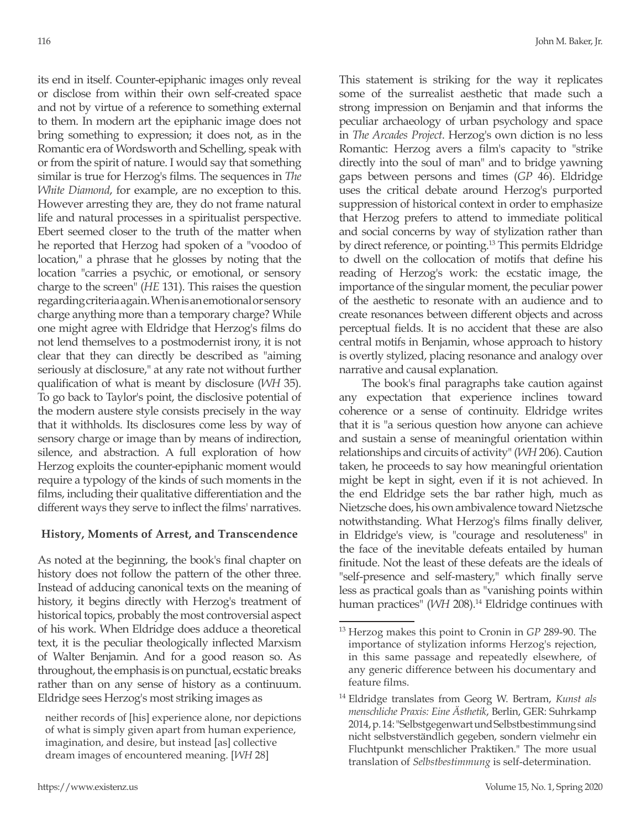its end in itself. Counter-epiphanic images only reveal or disclose from within their own self-created space and not by virtue of a reference to something external to them. In modern art the epiphanic image does not bring something to expression; it does not, as in the Romantic era of Wordsworth and Schelling, speak with or from the spirit of nature. I would say that something similar is true for Herzog's films. The sequences in *The White Diamond*, for example, are no exception to this. However arresting they are, they do not frame natural life and natural processes in a spiritualist perspective. Ebert seemed closer to the truth of the matter when he reported that Herzog had spoken of a "voodoo of location," a phrase that he glosses by noting that the location "carries a psychic, or emotional, or sensory charge to the screen" (*HE* 131). This raises the question regarding criteria again. When is an emotional or sensory charge anything more than a temporary charge? While one might agree with Eldridge that Herzog's films do not lend themselves to a postmodernist irony, it is not clear that they can directly be described as "aiming seriously at disclosure," at any rate not without further qualification of what is meant by disclosure (*WH* 35). To go back to Taylor's point, the disclosive potential of the modern austere style consists precisely in the way that it withholds. Its disclosures come less by way of sensory charge or image than by means of indirection, silence, and abstraction. A full exploration of how Herzog exploits the counter-epiphanic moment would require a typology of the kinds of such moments in the films, including their qualitative differentiation and the different ways they serve to inflect the films' narratives.

## **History, Moments of Arrest, and Transcendence**

As noted at the beginning, the book's final chapter on history does not follow the pattern of the other three. Instead of adducing canonical texts on the meaning of history, it begins directly with Herzog's treatment of historical topics, probably the most controversial aspect of his work. When Eldridge does adduce a theoretical text, it is the peculiar theologically inflected Marxism of Walter Benjamin. And for a good reason so. As throughout, the emphasis is on punctual, ecstatic breaks rather than on any sense of history as a continuum. Eldridge sees Herzog's most striking images as

This statement is striking for the way it replicates some of the surrealist aesthetic that made such a strong impression on Benjamin and that informs the peculiar archaeology of urban psychology and space in *The Arcades Project*. Herzog's own diction is no less Romantic: Herzog avers a film's capacity to "strike directly into the soul of man" and to bridge yawning gaps between persons and times (*GP* 46). Eldridge uses the critical debate around Herzog's purported suppression of historical context in order to emphasize that Herzog prefers to attend to immediate political and social concerns by way of stylization rather than by direct reference, or pointing.13 This permits Eldridge to dwell on the collocation of motifs that define his reading of Herzog's work: the ecstatic image, the importance of the singular moment, the peculiar power of the aesthetic to resonate with an audience and to create resonances between different objects and across perceptual fields. It is no accident that these are also central motifs in Benjamin, whose approach to history is overtly stylized, placing resonance and analogy over narrative and causal explanation.

The book's final paragraphs take caution against any expectation that experience inclines toward coherence or a sense of continuity. Eldridge writes that it is "a serious question how anyone can achieve and sustain a sense of meaningful orientation within relationships and circuits of activity" (*WH* 206). Caution taken, he proceeds to say how meaningful orientation might be kept in sight, even if it is not achieved. In the end Eldridge sets the bar rather high, much as Nietzsche does, his own ambivalence toward Nietzsche notwithstanding. What Herzog's films finally deliver, in Eldridge's view, is "courage and resoluteness" in the face of the inevitable defeats entailed by human finitude. Not the least of these defeats are the ideals of "self-presence and self-mastery," which finally serve less as practical goals than as "vanishing points within human practices" (*WH* 208).<sup>14</sup> Eldridge continues with

neither records of [his] experience alone, nor depictions of what is simply given apart from human experience, imagination, and desire, but instead [as] collective dream images of encountered meaning. [*WH* 28]

<sup>13</sup> Herzog makes this point to Cronin in *GP* 289-90. The importance of stylization informs Herzog's rejection, in this same passage and repeatedly elsewhere, of any generic difference between his documentary and feature films.

<sup>14</sup> Eldridge translates from Georg W. Bertram, *Kunst als menschliche Praxis: Eine Ästhetik*, Berlin, GER: Suhrkamp 2014, p. 14: "Selbstgegenwart und Selbstbestimmung sind nicht selbstverständlich gegeben, sondern vielmehr ein Fluchtpunkt menschlicher Praktiken." The more usual translation of *Selbstbestimmung* is self-determination.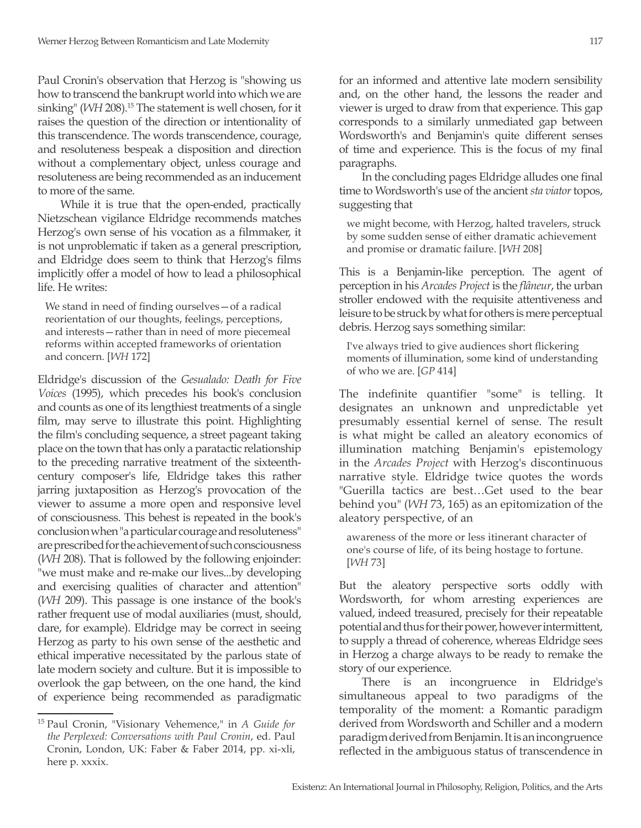Paul Cronin's observation that Herzog is "showing us how to transcend the bankrupt world into which we are sinking" (*WH* 208).<sup>15</sup> The statement is well chosen, for it raises the question of the direction or intentionality of this transcendence. The words transcendence, courage, and resoluteness bespeak a disposition and direction without a complementary object, unless courage and resoluteness are being recommended as an inducement to more of the same.

While it is true that the open-ended, practically Nietzschean vigilance Eldridge recommends matches Herzog's own sense of his vocation as a filmmaker, it is not unproblematic if taken as a general prescription, and Eldridge does seem to think that Herzog's films implicitly offer a model of how to lead a philosophical life. He writes:

We stand in need of finding ourselves—of a radical reorientation of our thoughts, feelings, perceptions, and interests—rather than in need of more piecemeal reforms within accepted frameworks of orientation and concern. [*WH* 172]

Eldridge's discussion of the *Gesualado: Death for Five Voices* (1995), which precedes his book's conclusion and counts as one of its lengthiest treatments of a single film, may serve to illustrate this point. Highlighting the film's concluding sequence, a street pageant taking place on the town that has only a paratactic relationship to the preceding narrative treatment of the sixteenthcentury composer's life, Eldridge takes this rather jarring juxtaposition as Herzog's provocation of the viewer to assume a more open and responsive level of consciousness. This behest is repeated in the book's conclusion when "a particular courage and resoluteness" are prescribed for the achievement of such consciousness (*WH* 208). That is followed by the following enjoinder: "we must make and re-make our lives...by developing and exercising qualities of character and attention" (*WH* 209). This passage is one instance of the book's rather frequent use of modal auxiliaries (must, should, dare, for example). Eldridge may be correct in seeing Herzog as party to his own sense of the aesthetic and ethical imperative necessitated by the parlous state of late modern society and culture. But it is impossible to overlook the gap between, on the one hand, the kind of experience being recommended as paradigmatic

for an informed and attentive late modern sensibility and, on the other hand, the lessons the reader and viewer is urged to draw from that experience. This gap corresponds to a similarly unmediated gap between Wordsworth's and Benjamin's quite different senses of time and experience. This is the focus of my final paragraphs.

In the concluding pages Eldridge alludes one final time to Wordsworth's use of the ancient *sta viator* topos, suggesting that

we might become, with Herzog, halted travelers, struck by some sudden sense of either dramatic achievement and promise or dramatic failure. [*WH* 208]

This is a Benjamin-like perception. The agent of perception in his *Arcades Project* is the *flâneur*, the urban stroller endowed with the requisite attentiveness and leisure to be struck by what for others is mere perceptual debris. Herzog says something similar:

I've always tried to give audiences short flickering moments of illumination, some kind of understanding of who we are. [*GP* 414]

The indefinite quantifier "some" is telling. It designates an unknown and unpredictable yet presumably essential kernel of sense. The result is what might be called an aleatory economics of illumination matching Benjamin's epistemology in the *Arcades Project* with Herzog's discontinuous narrative style. Eldridge twice quotes the words "Guerilla tactics are best…Get used to the bear behind you" (*WH* 73, 165) as an epitomization of the aleatory perspective, of an

awareness of the more or less itinerant character of one's course of life, of its being hostage to fortune. [*WH* 73]

But the aleatory perspective sorts oddly with Wordsworth, for whom arresting experiences are valued, indeed treasured, precisely for their repeatable potential and thus for their power, however intermittent, to supply a thread of coherence, whereas Eldridge sees in Herzog a charge always to be ready to remake the story of our experience.

There is an incongruence in Eldridge's simultaneous appeal to two paradigms of the temporality of the moment: a Romantic paradigm derived from Wordsworth and Schiller and a modern paradigm derived from Benjamin. It is an incongruence reflected in the ambiguous status of transcendence in

<sup>15</sup> Paul Cronin, "Visionary Vehemence," in *A Guide for the Perplexed: Conversations with Paul Cronin*, ed. Paul Cronin, London, UK: Faber & Faber 2014, pp. xi-xli, here p. xxxix.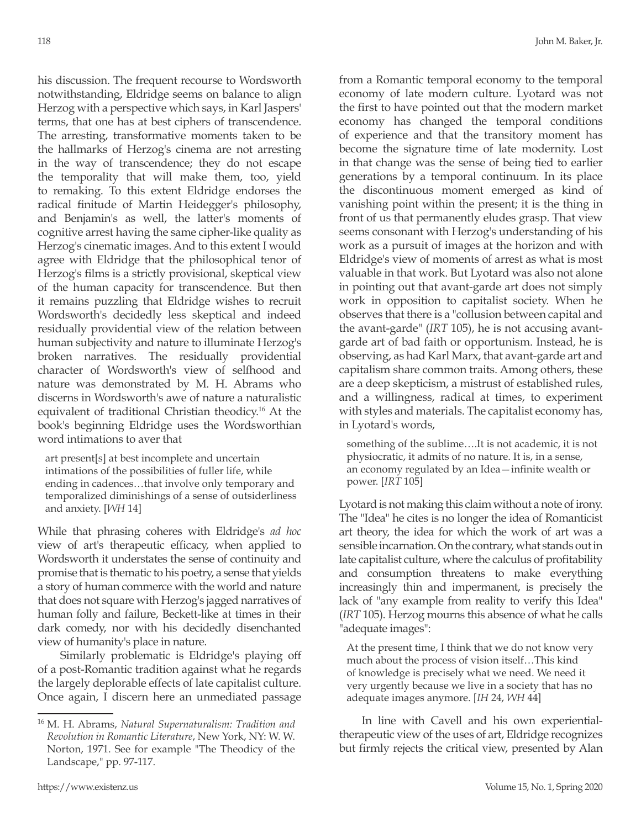his discussion. The frequent recourse to Wordsworth notwithstanding, Eldridge seems on balance to align Herzog with a perspective which says, in Karl Jaspers' terms, that one has at best ciphers of transcendence. The arresting, transformative moments taken to be the hallmarks of Herzog's cinema are not arresting in the way of transcendence; they do not escape the temporality that will make them, too, yield to remaking. To this extent Eldridge endorses the radical finitude of Martin Heidegger's philosophy, and Benjamin's as well, the latter's moments of cognitive arrest having the same cipher-like quality as Herzog's cinematic images. And to this extent I would agree with Eldridge that the philosophical tenor of Herzog's films is a strictly provisional, skeptical view of the human capacity for transcendence. But then it remains puzzling that Eldridge wishes to recruit Wordsworth's decidedly less skeptical and indeed residually providential view of the relation between human subjectivity and nature to illuminate Herzog's broken narratives. The residually providential character of Wordsworth's view of selfhood and nature was demonstrated by M. H. Abrams who discerns in Wordsworth's awe of nature a naturalistic equivalent of traditional Christian theodicy.16 At the book's beginning Eldridge uses the Wordsworthian word intimations to aver that

art present[s] at best incomplete and uncertain intimations of the possibilities of fuller life, while ending in cadences…that involve only temporary and temporalized diminishings of a sense of outsiderliness and anxiety. [*WH* 14]

While that phrasing coheres with Eldridge's *ad hoc*  view of art's therapeutic efficacy, when applied to Wordsworth it understates the sense of continuity and promise that is thematic to his poetry, a sense that yields a story of human commerce with the world and nature that does not square with Herzog's jagged narratives of human folly and failure, Beckett-like at times in their dark comedy, nor with his decidedly disenchanted view of humanity's place in nature.

Similarly problematic is Eldridge's playing off of a post-Romantic tradition against what he regards the largely deplorable effects of late capitalist culture. Once again, I discern here an unmediated passage from a Romantic temporal economy to the temporal economy of late modern culture. Lyotard was not the first to have pointed out that the modern market economy has changed the temporal conditions of experience and that the transitory moment has become the signature time of late modernity. Lost in that change was the sense of being tied to earlier generations by a temporal continuum. In its place the discontinuous moment emerged as kind of vanishing point within the present; it is the thing in front of us that permanently eludes grasp. That view seems consonant with Herzog's understanding of his work as a pursuit of images at the horizon and with Eldridge's view of moments of arrest as what is most valuable in that work. But Lyotard was also not alone in pointing out that avant-garde art does not simply work in opposition to capitalist society. When he observes that there is a "collusion between capital and the avant-garde" (*IRT* 105), he is not accusing avantgarde art of bad faith or opportunism. Instead, he is observing, as had Karl Marx, that avant-garde art and capitalism share common traits. Among others, these are a deep skepticism, a mistrust of established rules, and a willingness, radical at times, to experiment with styles and materials. The capitalist economy has, in Lyotard's words,

something of the sublime….It is not academic, it is not physiocratic, it admits of no nature. It is, in a sense, an economy regulated by an Idea—infinite wealth or power. [*IRT* 105]

Lyotard is not making this claim without a note of irony. The "Idea" he cites is no longer the idea of Romanticist art theory, the idea for which the work of art was a sensible incarnation. On the contrary, what stands out in late capitalist culture, where the calculus of profitability and consumption threatens to make everything increasingly thin and impermanent, is precisely the lack of "any example from reality to verify this Idea" (*IRT* 105). Herzog mourns this absence of what he calls "adequate images":

At the present time, I think that we do not know very much about the process of vision itself…This kind of knowledge is precisely what we need. We need it very urgently because we live in a society that has no adequate images anymore. [*IH* 24, *WH* 44]

In line with Cavell and his own experientialtherapeutic view of the uses of art, Eldridge recognizes but firmly rejects the critical view, presented by Alan

<sup>16</sup> M. H. Abrams, *Natural Supernaturalism: Tradition and Revolution in Romantic Literature*, New York, NY: W. W. Norton, 1971. See for example "The Theodicy of the Landscape," pp. 97-117.